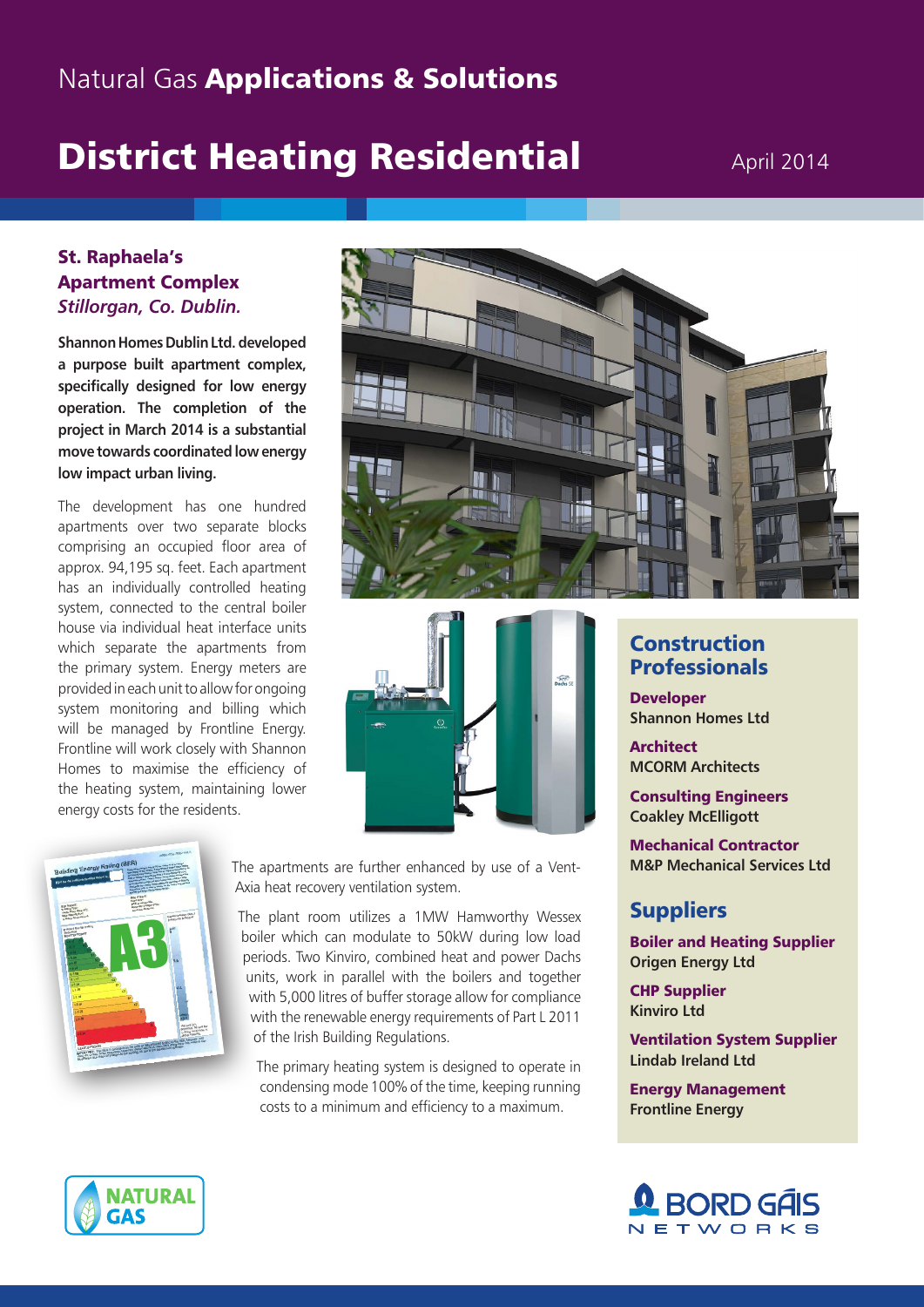## **Natural Gas Applications & Solutions**

# **District Heating Residential April 2014**

#### St. Raphaela's Apartment Complex *Stillorgan, Co. Dublin.*

**Shannon Homes Dublin Ltd. developed a purpose built apartment complex, specifically designed for low energy operation. The completion of the project in March 2014 is a substantial move towards coordinated low energy low impact urban living.** 

system, connected to the central boiler house via individual heat interface units The development has one hundred apartments over two separate blocks comprising an occupied floor area of approx. 94,195 sq. feet. Each apartment has an individually controlled heating which separate the apartments from the primary system. Energy meters are provided in each unit to allow for ongoing system monitoring and billing which will be managed by Frontline Energy. Frontline will work closely with Shannon Homes to maximise the efficiency of the heating system, maintaining lower energy costs for the residents.







The apartments are further enhanced by use of a Vent-Axia heat recovery ventilation system.

The plant room utilizes a 1MW Hamworthy Wessex boiler which can modulate to 50kW during low load periods. Two Kinviro, combined heat and power Dachs units, work in parallel with the boilers and together with 5,000 litres of buffer storage allow for compliance with the renewable energy requirements of Part L 2011 of the Irish Building Regulations.

The primary heating system is designed to operate in condensing mode 100% of the time, keeping running costs to a minimum and efficiency to a maximum.

### **Construction Professionals**

**Developer Shannon Homes Ltd**

**Architect MCORM Architects**

Consulting Engineers **Coakley McElligott**

Mechanical Contractor **M&P Mechanical Services Ltd**

## **Suppliers**

Boiler and Heating Supplier **Origen Energy Ltd**

CHP Supplier **Kinviro Ltd**

Ventilation System Supplier **Lindab Ireland Ltd**

Energy Management **Frontline Energy**